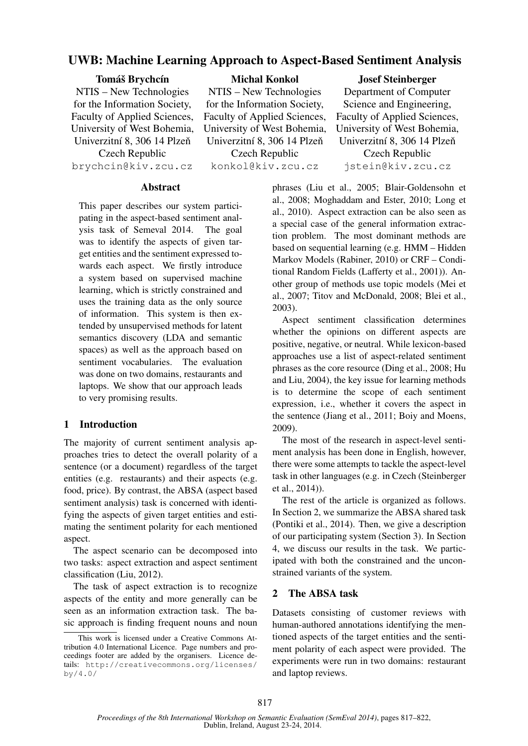# UWB: Machine Learning Approach to Aspect-Based Sentiment Analysis

#### Tomáš Brychcín

NTIS – New Technologies for the Information Society, Faculty of Applied Sciences, University of West Bohemia, Univerzitní 8, 306 14 Plzeň Czech Republic brychcin@kiv.zcu.cz Michal Konkol

NTIS – New Technologies for the Information Society, Faculty of Applied Sciences, University of West Bohemia, Univerzitní 8, 306 14 Plzeň Czech Republic

konkol@kiv.zcu.cz

#### Josef Steinberger

Department of Computer Science and Engineering, Faculty of Applied Sciences, University of West Bohemia, Univerzitní 8, 306 14 Plzeň Czech Republic jstein@kiv.zcu.cz

#### **Abstract**

This paper describes our system participating in the aspect-based sentiment analysis task of Semeval 2014. The goal was to identify the aspects of given target entities and the sentiment expressed towards each aspect. We firstly introduce a system based on supervised machine learning, which is strictly constrained and uses the training data as the only source of information. This system is then extended by unsupervised methods for latent semantics discovery (LDA and semantic spaces) as well as the approach based on sentiment vocabularies. The evaluation was done on two domains, restaurants and laptops. We show that our approach leads to very promising results.

## 1 Introduction

The majority of current sentiment analysis approaches tries to detect the overall polarity of a sentence (or a document) regardless of the target entities (e.g. restaurants) and their aspects (e.g. food, price). By contrast, the ABSA (aspect based sentiment analysis) task is concerned with identifying the aspects of given target entities and estimating the sentiment polarity for each mentioned aspect.

The aspect scenario can be decomposed into two tasks: aspect extraction and aspect sentiment classification (Liu, 2012).

The task of aspect extraction is to recognize aspects of the entity and more generally can be seen as an information extraction task. The basic approach is finding frequent nouns and noun phrases (Liu et al., 2005; Blair-Goldensohn et al., 2008; Moghaddam and Ester, 2010; Long et al., 2010). Aspect extraction can be also seen as a special case of the general information extraction problem. The most dominant methods are based on sequential learning (e.g. HMM – Hidden Markov Models (Rabiner, 2010) or CRF – Conditional Random Fields (Lafferty et al., 2001)). Another group of methods use topic models (Mei et al., 2007; Titov and McDonald, 2008; Blei et al., 2003).

Aspect sentiment classification determines whether the opinions on different aspects are positive, negative, or neutral. While lexicon-based approaches use a list of aspect-related sentiment phrases as the core resource (Ding et al., 2008; Hu and Liu, 2004), the key issue for learning methods is to determine the scope of each sentiment expression, i.e., whether it covers the aspect in the sentence (Jiang et al., 2011; Boiy and Moens, 2009).

The most of the research in aspect-level sentiment analysis has been done in English, however, there were some attempts to tackle the aspect-level task in other languages (e.g. in Czech (Steinberger et al., 2014)).

The rest of the article is organized as follows. In Section 2, we summarize the ABSA shared task (Pontiki et al., 2014). Then, we give a description of our participating system (Section 3). In Section 4, we discuss our results in the task. We participated with both the constrained and the unconstrained variants of the system.

## 2 The ABSA task

Datasets consisting of customer reviews with human-authored annotations identifying the mentioned aspects of the target entities and the sentiment polarity of each aspect were provided. The experiments were run in two domains: restaurant and laptop reviews.

This work is licensed under a Creative Commons Attribution 4.0 International Licence. Page numbers and proceedings footer are added by the organisers. Licence details: http://creativecommons.org/licenses/ by/4.0/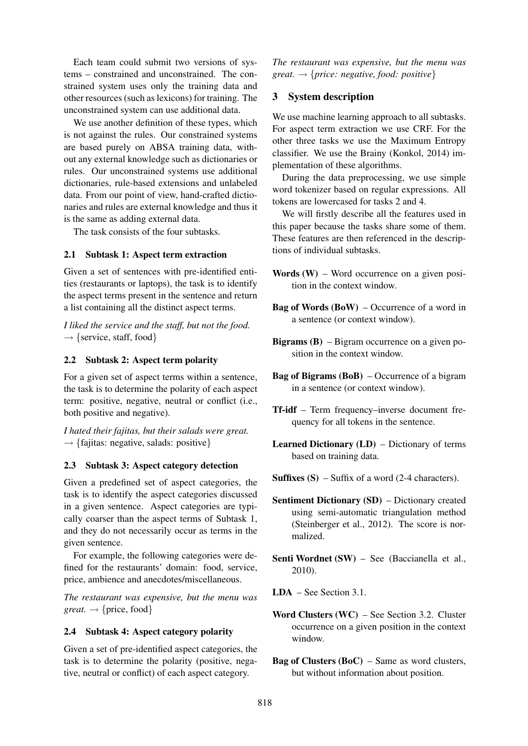Each team could submit two versions of systems – constrained and unconstrained. The constrained system uses only the training data and other resources (such as lexicons) for training. The unconstrained system can use additional data.

We use another definition of these types, which is not against the rules. Our constrained systems are based purely on ABSA training data, without any external knowledge such as dictionaries or rules. Our unconstrained systems use additional dictionaries, rule-based extensions and unlabeled data. From our point of view, hand-crafted dictionaries and rules are external knowledge and thus it is the same as adding external data.

The task consists of the four subtasks.

#### 2.1 Subtask 1: Aspect term extraction

Given a set of sentences with pre-identified entities (restaurants or laptops), the task is to identify the aspect terms present in the sentence and return a list containing all the distinct aspect terms.

*I liked the service and the staff, but not the food.*  $\rightarrow$  {service, staff, food}

#### 2.2 Subtask 2: Aspect term polarity

For a given set of aspect terms within a sentence, the task is to determine the polarity of each aspect term: positive, negative, neutral or conflict (i.e., both positive and negative).

*I hated their fajitas, but their salads were great.*  $\rightarrow$  {fajitas: negative, salads: positive}

#### 2.3 Subtask 3: Aspect category detection

Given a predefined set of aspect categories, the task is to identify the aspect categories discussed in a given sentence. Aspect categories are typically coarser than the aspect terms of Subtask 1, and they do not necessarily occur as terms in the given sentence.

For example, the following categories were defined for the restaurants' domain: food, service, price, ambience and anecdotes/miscellaneous.

*The restaurant was expensive, but the menu was great.*  $\rightarrow$  {price, food}

#### 2.4 Subtask 4: Aspect category polarity

Given a set of pre-identified aspect categories, the task is to determine the polarity (positive, negative, neutral or conflict) of each aspect category.

*The restaurant was expensive, but the menu was great.* → {*price: negative, food: positive*}

### 3 System description

We use machine learning approach to all subtasks. For aspect term extraction we use CRF. For the other three tasks we use the Maximum Entropy classifier. We use the Brainy (Konkol, 2014) implementation of these algorithms.

During the data preprocessing, we use simple word tokenizer based on regular expressions. All tokens are lowercased for tasks 2 and 4.

We will firstly describe all the features used in this paper because the tasks share some of them. These features are then referenced in the descriptions of individual subtasks.

- **Words** (W) Word occurrence on a given position in the context window.
- Bag of Words (BoW) Occurrence of a word in a sentence (or context window).
- **Bigrams (B)** Bigram occurrence on a given position in the context window.
- Bag of Bigrams (BoB) Occurrence of a bigram in a sentence (or context window).
- Tf-idf Term frequency–inverse document frequency for all tokens in the sentence.
- Learned Dictionary (LD) Dictionary of terms based on training data.
- **Suffixes (S)** Suffix of a word (2-4 characters).
- Sentiment Dictionary (SD) Dictionary created using semi-automatic triangulation method (Steinberger et al., 2012). The score is normalized.
- Senti Wordnet (SW) See (Baccianella et al., 2010).
- LDA See Section 3.1.
- Word Clusters (WC) See Section 3.2. Cluster occurrence on a given position in the context window.
- **Bag of Clusters (BoC)** Same as word clusters, but without information about position.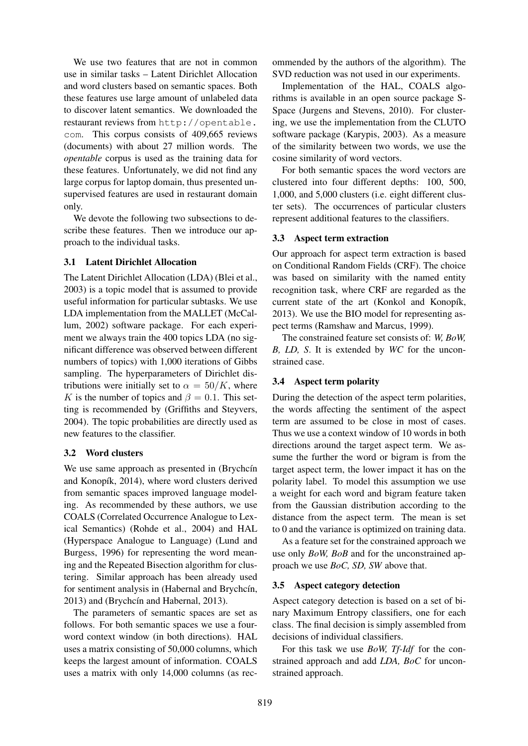We use two features that are not in common use in similar tasks – Latent Dirichlet Allocation and word clusters based on semantic spaces. Both these features use large amount of unlabeled data to discover latent semantics. We downloaded the restaurant reviews from http://opentable. com. This corpus consists of 409,665 reviews (documents) with about 27 million words. The *opentable* corpus is used as the training data for these features. Unfortunately, we did not find any large corpus for laptop domain, thus presented unsupervised features are used in restaurant domain only.

We devote the following two subsections to describe these features. Then we introduce our approach to the individual tasks.

#### 3.1 Latent Dirichlet Allocation

The Latent Dirichlet Allocation (LDA) (Blei et al., 2003) is a topic model that is assumed to provide useful information for particular subtasks. We use LDA implementation from the MALLET (McCallum, 2002) software package. For each experiment we always train the 400 topics LDA (no significant difference was observed between different numbers of topics) with 1,000 iterations of Gibbs sampling. The hyperparameters of Dirichlet distributions were initially set to  $\alpha = 50/K$ , where K is the number of topics and  $\beta = 0.1$ . This setting is recommended by (Griffiths and Steyvers, 2004). The topic probabilities are directly used as new features to the classifier.

## 3.2 Word clusters

We use same approach as presented in (Brychcín and Konopík, 2014), where word clusters derived from semantic spaces improved language modeling. As recommended by these authors, we use COALS (Correlated Occurrence Analogue to Lexical Semantics) (Rohde et al., 2004) and HAL (Hyperspace Analogue to Language) (Lund and Burgess, 1996) for representing the word meaning and the Repeated Bisection algorithm for clustering. Similar approach has been already used for sentiment analysis in (Habernal and Brychcín, 2013) and (Brychcín and Habernal, 2013).

The parameters of semantic spaces are set as follows. For both semantic spaces we use a fourword context window (in both directions). HAL uses a matrix consisting of 50,000 columns, which keeps the largest amount of information. COALS uses a matrix with only 14,000 columns (as recommended by the authors of the algorithm). The SVD reduction was not used in our experiments.

Implementation of the HAL, COALS algorithms is available in an open source package S-Space (Jurgens and Stevens, 2010). For clustering, we use the implementation from the CLUTO software package (Karypis, 2003). As a measure of the similarity between two words, we use the cosine similarity of word vectors.

For both semantic spaces the word vectors are clustered into four different depths: 100, 500, 1,000, and 5,000 clusters (i.e. eight different cluster sets). The occurrences of particular clusters represent additional features to the classifiers.

#### 3.3 Aspect term extraction

Our approach for aspect term extraction is based on Conditional Random Fields (CRF). The choice was based on similarity with the named entity recognition task, where CRF are regarded as the current state of the art (Konkol and Konopík, 2013). We use the BIO model for representing aspect terms (Ramshaw and Marcus, 1999).

The constrained feature set consists of: *W, BoW, B, LD, S*. It is extended by *WC* for the unconstrained case.

## 3.4 Aspect term polarity

During the detection of the aspect term polarities, the words affecting the sentiment of the aspect term are assumed to be close in most of cases. Thus we use a context window of 10 words in both directions around the target aspect term. We assume the further the word or bigram is from the target aspect term, the lower impact it has on the polarity label. To model this assumption we use a weight for each word and bigram feature taken from the Gaussian distribution according to the distance from the aspect term. The mean is set to 0 and the variance is optimized on training data.

As a feature set for the constrained approach we use only *BoW, BoB* and for the unconstrained approach we use *BoC, SD, SW* above that.

## 3.5 Aspect category detection

Aspect category detection is based on a set of binary Maximum Entropy classifiers, one for each class. The final decision is simply assembled from decisions of individual classifiers.

For this task we use *BoW, Tf-Idf* for the constrained approach and add *LDA, BoC* for unconstrained approach.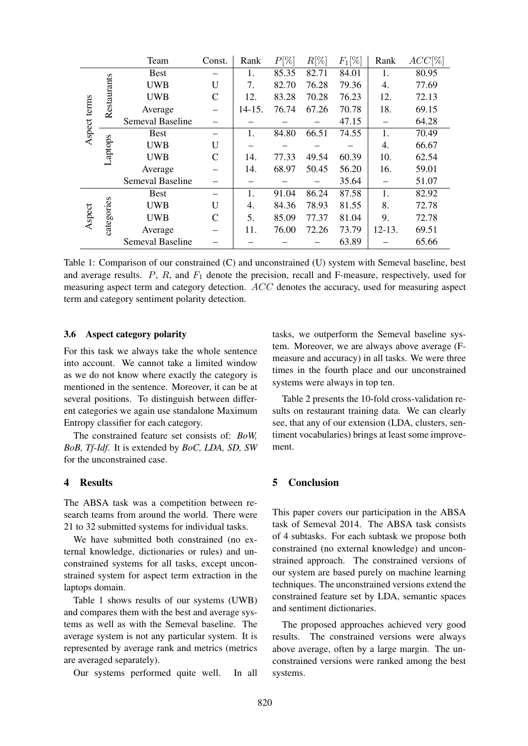|              |             | Team                    | Const.         | Rank       | $P[\%]$ | $R[\%]$ | $F_1[\%]$ | Rank       | $ACC[\%]$ |
|--------------|-------------|-------------------------|----------------|------------|---------|---------|-----------|------------|-----------|
| Aspect terms | Restaurants | <b>Best</b>             |                | 1.         | 85.35   | 82.71   | 84.01     | 1.         | 80.95     |
|              |             | <b>UWB</b>              | U              | 7.         | 82.70   | 76.28   | 79.36     | 4.         | 77.69     |
|              |             | <b>UWB</b>              | $\mathcal{C}$  | 12.        | 83.28   | 70.28   | 76.23     | 12.        | 72.13     |
|              |             | Average                 |                | $14 - 15.$ | 76.74   | 67.26   | 70.78     | 18.        | 69.15     |
|              |             | Semeval Baseline        |                |            |         |         | 47.15     |            | 64.28     |
|              | Laptops     | <b>Best</b>             |                | 1.         | 84.80   | 66.51   | 74.55     | 1.         | 70.49     |
|              |             | <b>UWB</b>              | $\overline{U}$ |            |         |         |           | 4.         | 66.67     |
|              |             | <b>UWB</b>              | $\mathcal{C}$  | 14.        | 77.33   | 49.54   | 60.39     | 10.        | 62.54     |
|              |             | Average                 |                | 14.        | 68.97   | 50.45   | 56.20     | 16.        | 59.01     |
|              |             | Semeval Baseline        |                |            |         |         | 35.64     |            | 51.07     |
| Aspect       | categories  | <b>Best</b>             |                | 1.         | 91.04   | 86.24   | 87.58     | 1.         | 82.92     |
|              |             | <b>UWB</b>              | U              | 4.         | 84.36   | 78.93   | 81.55     | 8.         | 72.78     |
|              |             | <b>UWB</b>              | $\mathsf{C}$   | 5.         | 85.09   | 77.37   | 81.04     | 9.         | 72.78     |
|              |             | Average                 |                | 11.        | 76.00   | 72.26   | 73.79     | $12 - 13.$ | 69.51     |
|              |             | <b>Semeval Baseline</b> |                |            |         |         | 63.89     |            | 65.66     |

Table 1: Comparison of our constrained (C) and unconstrained (U) system with Semeval baseline, best and average results.  $P$ ,  $R$ , and  $F_1$  denote the precision, recall and F-measure, respectively, used for measuring aspect term and category detection. ACC denotes the accuracy, used for measuring aspect term and category sentiment polarity detection.

#### 3.6 Aspect category polarity

For this task we always take the whole sentence into account. We cannot take a limited window as we do not know where exactly the category is mentioned in the sentence. Moreover, it can be at several positions. To distinguish between different categories we again use standalone Maximum Entropy classifier for each category.

The constrained feature set consists of: *BoW, BoB, Tf-Idf*. It is extended by *BoC, LDA, SD, SW* for the unconstrained case.

## 4 Results

The ABSA task was a competition between research teams from around the world. There were 21 to 32 submitted systems for individual tasks.

We have submitted both constrained (no external knowledge, dictionaries or rules) and unconstrained systems for all tasks, except unconstrained system for aspect term extraction in the laptops domain.

Table 1 shows results of our systems (UWB) and compares them with the best and average systems as well as with the Semeval baseline. The average system is not any particular system. It is represented by average rank and metrics (metrics are averaged separately).

Our systems performed quite well. In all

tasks, we outperform the Semeval baseline system. Moreover, we are always above average (Fmeasure and accuracy) in all tasks. We were three times in the fourth place and our unconstrained systems were always in top ten.

Table 2 presents the 10-fold cross-validation results on restaurant training data. We can clearly see, that any of our extension (LDA, clusters, sentiment vocabularies) brings at least some improvement.

## 5 Conclusion

This paper covers our participation in the ABSA task of Semeval 2014. The ABSA task consists of 4 subtasks. For each subtask we propose both constrained (no external knowledge) and unconstrained approach. The constrained versions of our system are based purely on machine learning techniques. The unconstrained versions extend the constrained feature set by LDA, semantic spaces and sentiment dictionaries.

The proposed approaches achieved very good results. The constrained versions were always above average, often by a large margin. The unconstrained versions were ranked among the best systems.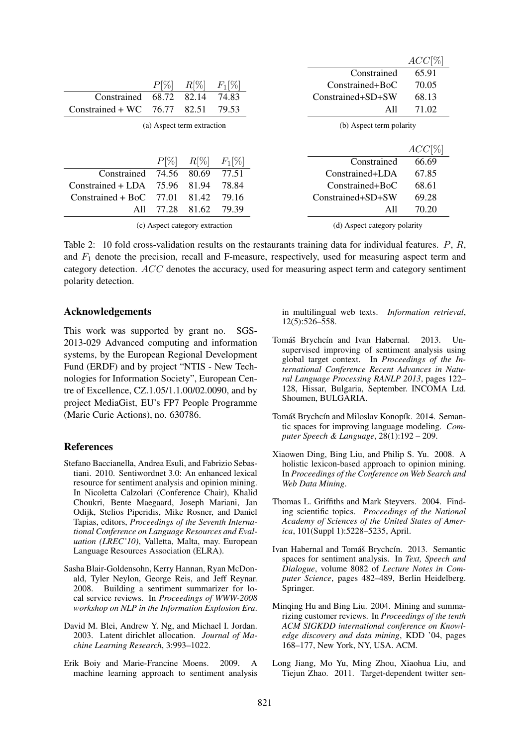|                     |         |                            |           |                   | $ACC[\%]$                |  |  |
|---------------------|---------|----------------------------|-----------|-------------------|--------------------------|--|--|
|                     |         |                            |           | Constrained       | 65.91                    |  |  |
|                     | $P[\%]$ | $R[\%]$                    | $F_1[\%]$ | Constrained+BoC   | 70.05                    |  |  |
| Constrained         | 68.72   | 82.14                      | 74.83     | Constrained+SD+SW | 68.13                    |  |  |
| $Constrained + WC$  | 76.77   | 82.51                      | 79.53     | All               | 71.02                    |  |  |
|                     |         | (a) Aspect term extraction |           |                   | (b) Aspect term polarity |  |  |
|                     |         |                            |           |                   |                          |  |  |
|                     |         |                            |           |                   | ACC[%]                   |  |  |
|                     | $P[\%]$ | $R[\%]$                    | $F_1[\%]$ | Constrained       | 66.69                    |  |  |
| Constrained         | 74.56   | 80.69                      | 77.51     | Constrained+LDA   | 67.85                    |  |  |
| Constrained + LDA   | 75.96   | 81.94                      | 78.84     | Constrained+BoC   | 68.61                    |  |  |
| $Constrained + BoC$ | 77.01   | 81.42                      | 79.16     | Constrained+SD+SW | 69.28                    |  |  |
| All                 | 77.28   | 81.62                      | 79.39     | All               | 70.20                    |  |  |

(c) Aspect category extraction

(d) Aspect category polarity

 $A \cap C$ <sup>[( $\neq$ ]</sup>

Table 2: 10 fold cross-validation results on the restaurants training data for individual features. P, R, and  $F_1$  denote the precision, recall and F-measure, respectively, used for measuring aspect term and category detection. ACC denotes the accuracy, used for measuring aspect term and category sentiment polarity detection.

#### Acknowledgements

This work was supported by grant no. SGS-2013-029 Advanced computing and information systems, by the European Regional Development Fund (ERDF) and by project "NTIS - New Technologies for Information Society", European Centre of Excellence, CZ.1.05/1.1.00/02.0090, and by project MediaGist, EU's FP7 People Programme (Marie Curie Actions), no. 630786.

## References

- Stefano Baccianella, Andrea Esuli, and Fabrizio Sebastiani. 2010. Sentiwordnet 3.0: An enhanced lexical resource for sentiment analysis and opinion mining. In Nicoletta Calzolari (Conference Chair), Khalid Choukri, Bente Maegaard, Joseph Mariani, Jan Odijk, Stelios Piperidis, Mike Rosner, and Daniel Tapias, editors, *Proceedings of the Seventh International Conference on Language Resources and Evaluation (LREC'10)*, Valletta, Malta, may. European Language Resources Association (ELRA).
- Sasha Blair-Goldensohn, Kerry Hannan, Ryan McDonald, Tyler Neylon, George Reis, and Jeff Reynar. 2008. Building a sentiment summarizer for local service reviews. In *Proceedings of WWW-2008 workshop on NLP in the Information Explosion Era*.
- David M. Blei, Andrew Y. Ng, and Michael I. Jordan. 2003. Latent dirichlet allocation. *Journal of Machine Learning Research*, 3:993–1022.
- Erik Boiy and Marie-Francine Moens. 2009. A machine learning approach to sentiment analysis

in multilingual web texts. *Information retrieval*, 12(5):526–558.

- Tomáš Brychcín and Ivan Habernal. 2013. Unsupervised improving of sentiment analysis using global target context. In *Proceedings of the International Conference Recent Advances in Natural Language Processing RANLP 2013*, pages 122– 128, Hissar, Bulgaria, September. INCOMA Ltd. Shoumen, BULGARIA.
- Tomáš Brychcín and Miloslav Konopík. 2014. Semantic spaces for improving language modeling. *Computer Speech & Language*, 28(1):192 – 209.
- Xiaowen Ding, Bing Liu, and Philip S. Yu. 2008. A holistic lexicon-based approach to opinion mining. In *Proceedings of the Conference on Web Search and Web Data Mining*.
- Thomas L. Griffiths and Mark Steyvers. 2004. Finding scientific topics. *Proceedings of the National Academy of Sciences of the United States of America*, 101(Suppl 1):5228–5235, April.
- Ivan Habernal and Tomáš Brychcín. 2013. Semantic spaces for sentiment analysis. In *Text, Speech and Dialogue*, volume 8082 of *Lecture Notes in Computer Science*, pages 482–489, Berlin Heidelberg. Springer.
- Minqing Hu and Bing Liu. 2004. Mining and summarizing customer reviews. In *Proceedings of the tenth ACM SIGKDD international conference on Knowledge discovery and data mining*, KDD '04, pages 168–177, New York, NY, USA. ACM.
- Long Jiang, Mo Yu, Ming Zhou, Xiaohua Liu, and Tiejun Zhao. 2011. Target-dependent twitter sen-